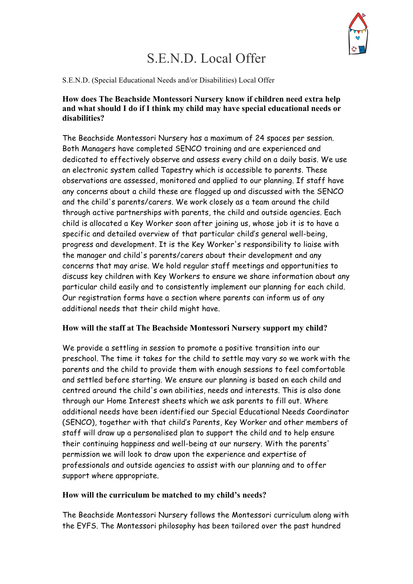

# S.E.N.D. Local Offer

S.E.N.D. (Special Educational Needs and/or Disabilities) Local Offer

## **How does The Beachside Montessori Nursery know if children need extra help and what should I do if I think my child may have special educational needs or disabilities?**

The Beachside Montessori Nursery has a maximum of 24 spaces per session. Both Managers have completed SENCO training and are experienced and dedicated to effectively observe and assess every child on a daily basis. We use an electronic system called Tapestry which is accessible to parents. These observations are assessed, monitored and applied to our planning. If staff have any concerns about a child these are flagged up and discussed with the SENCO and the child's parents/carers. We work closely as a team around the child through active partnerships with parents, the child and outside agencies. Each child is allocated a Key Worker soon after joining us, whose job it is to have a specific and detailed overview of that particular child's general well-being, progress and development. It is the Key Worker's responsibility to liaise with the manager and child's parents/carers about their development and any concerns that may arise. We hold regular staff meetings and opportunities to discuss key children with Key Workers to ensure we share information about any particular child easily and to consistently implement our planning for each child. Our registration forms have a section where parents can inform us of any additional needs that their child might have.

## **How will the staff at The Beachside Montessori Nursery support my child?**

We provide a settling in session to promote a positive transition into our preschool. The time it takes for the child to settle may vary so we work with the parents and the child to provide them with enough sessions to feel comfortable and settled before starting. We ensure our planning is based on each child and centred around the child's own abilities, needs and interests. This is also done through our Home Interest sheets which we ask parents to fill out. Where additional needs have been identified our Special Educational Needs Coordinator (SENCO), together with that child's Parents, Key Worker and other members of staff will draw up a personalised plan to support the child and to help ensure their continuing happiness and well-being at our nursery. With the parents' permission we will look to draw upon the experience and expertise of professionals and outside agencies to assist with our planning and to offer support where appropriate.

## **How will the curriculum be matched to my child's needs?**

The Beachside Montessori Nursery follows the Montessori curriculum along with the EYFS. The Montessori philosophy has been tailored over the past hundred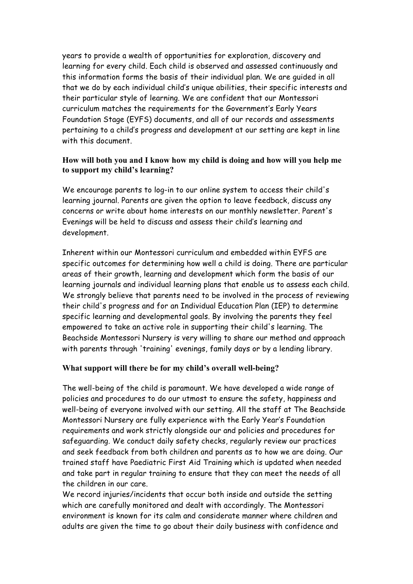years to provide a wealth of opportunities for exploration, discovery and learning for every child. Each child is observed and assessed continuously and this information forms the basis of their individual plan. We are guided in all that we do by each individual child's unique abilities, their specific interests and their particular style of learning. We are confident that our Montessori curriculum matches the requirements for the Government's Early Years Foundation Stage (EYFS) documents, and all of our records and assessments pertaining to a child's progress and development at our setting are kept in line with this document.

## **How will both you and I know how my child is doing and how will you help me to support my child's learning?**

We encourage parents to log-in to our online system to access their child's learning journal. Parents are given the option to leave feedback, discuss any concerns or write about home interests on our monthly newsletter. Parent's Evenings will be held to discuss and assess their child's learning and development.

Inherent within our Montessori curriculum and embedded within EYFS are specific outcomes for determining how well a child is doing. There are particular areas of their growth, learning and development which form the basis of our learning journals and individual learning plans that enable us to assess each child. We strongly believe that parents need to be involved in the process of reviewing their child's progress and for an Individual Education Plan (IEP) to determine specific learning and developmental goals. By involving the parents they feel empowered to take an active role in supporting their child's learning. The Beachside Montessori Nursery is very willing to share our method and approach with parents through 'training' evenings, family days or by a lending library.

## **What support will there be for my child's overall well-being?**

The well-being of the child is paramount. We have developed a wide range of policies and procedures to do our utmost to ensure the safety, happiness and well-being of everyone involved with our setting. All the staff at The Beachside Montessori Nursery are fully experience with the Early Year's Foundation requirements and work strictly alongside our and policies and procedures for safeguarding. We conduct daily safety checks, regularly review our practices and seek feedback from both children and parents as to how we are doing. Our trained staff have Paediatric First Aid Training which is updated when needed and take part in regular training to ensure that they can meet the needs of all the children in our care.

We record injuries/incidents that occur both inside and outside the setting which are carefully monitored and dealt with accordingly. The Montessori environment is known for its calm and considerate manner where children and adults are given the time to go about their daily business with confidence and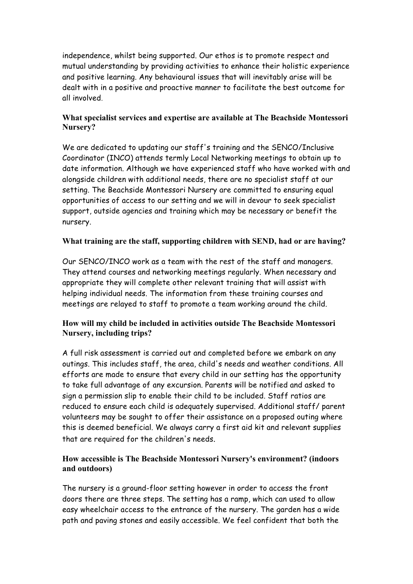independence, whilst being supported. Our ethos is to promote respect and mutual understanding by providing activities to enhance their holistic experience and positive learning. Any behavioural issues that will inevitably arise will be dealt with in a positive and proactive manner to facilitate the best outcome for all involved.

# **What specialist services and expertise are available at The Beachside Montessori Nursery?**

We are dedicated to updating our staff's training and the SENCO/Inclusive Coordinator (INCO) attends termly Local Networking meetings to obtain up to date information. Although we have experienced staff who have worked with and alongside children with additional needs, there are no specialist staff at our setting. The Beachside Montessori Nursery are committed to ensuring equal opportunities of access to our setting and we will in devour to seek specialist support, outside agencies and training which may be necessary or benefit the nursery.

# **What training are the staff, supporting children with SEND, had or are having?**

Our SENCO/INCO work as a team with the rest of the staff and managers. They attend courses and networking meetings regularly. When necessary and appropriate they will complete other relevant training that will assist with helping individual needs. The information from these training courses and meetings are relayed to staff to promote a team working around the child.

# **How will my child be included in activities outside The Beachside Montessori Nursery, including trips?**

A full risk assessment is carried out and completed before we embark on any outings. This includes staff, the area, child's needs and weather conditions. All efforts are made to ensure that every child in our setting has the opportunity to take full advantage of any excursion. Parents will be notified and asked to sign a permission slip to enable their child to be included. Staff ratios are reduced to ensure each child is adequately supervised. Additional staff/ parent volunteers may be sought to offer their assistance on a proposed outing where this is deemed beneficial. We always carry a first aid kit and relevant supplies that are required for the children's needs.

# **How accessible is The Beachside Montessori Nursery's environment? (indoors and outdoors)**

The nursery is a ground-floor setting however in order to access the front doors there are three steps. The setting has a ramp, which can used to allow easy wheelchair access to the entrance of the nursery. The garden has a wide path and paving stones and easily accessible. We feel confident that both the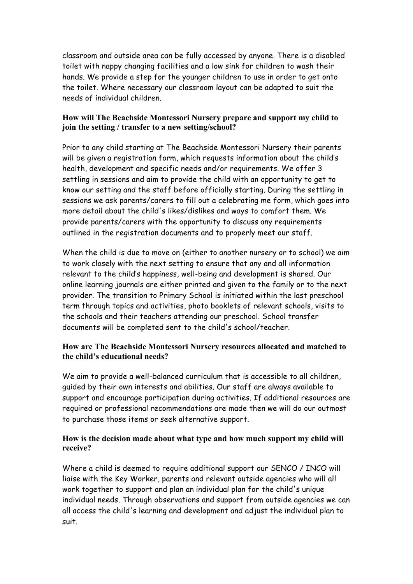classroom and outside area can be fully accessed by anyone. There is a disabled toilet with nappy changing facilities and a low sink for children to wash their hands. We provide a step for the younger children to use in order to get onto the toilet. Where necessary our classroom layout can be adapted to suit the needs of individual children.

## **How will The Beachside Montessori Nursery prepare and support my child to join the setting / transfer to a new setting/school?**

Prior to any child starting at The Beachside Montessori Nursery their parents will be given a registration form, which requests information about the child's health, development and specific needs and/or requirements. We offer 3 settling in sessions and aim to provide the child with an opportunity to get to know our setting and the staff before officially starting. During the settling in sessions we ask parents/carers to fill out a celebrating me form, which goes into more detail about the child's likes/dislikes and ways to comfort them. We provide parents/carers with the opportunity to discuss any requirements outlined in the registration documents and to properly meet our staff.

When the child is due to move on (either to another nursery or to school) we aim to work closely with the next setting to ensure that any and all information relevant to the child's happiness, well-being and development is shared. Our online learning journals are either printed and given to the family or to the next provider. The transition to Primary School is initiated within the last preschool term through topics and activities, photo booklets of relevant schools, visits to the schools and their teachers attending our preschool. School transfer documents will be completed sent to the child's school/teacher.

# **How are The Beachside Montessori Nursery resources allocated and matched to the child's educational needs?**

We aim to provide a well-balanced curriculum that is accessible to all children, guided by their own interests and abilities. Our staff are always available to support and encourage participation during activities. If additional resources are required or professional recommendations are made then we will do our outmost to purchase those items or seek alternative support.

# **How is the decision made about what type and how much support my child will receive?**

Where a child is deemed to require additional support our SENCO / INCO will liaise with the Key Worker, parents and relevant outside agencies who will all work together to support and plan an individual plan for the child's unique individual needs. Through observations and support from outside agencies we can all access the child's learning and development and adjust the individual plan to suit.